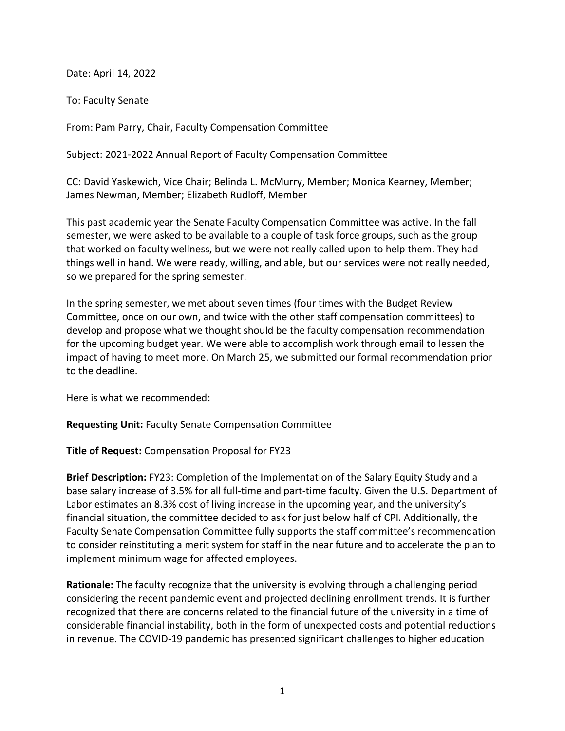Date: April 14, 2022

To: Faculty Senate

From: Pam Parry, Chair, Faculty Compensation Committee

Subject: 2021-2022 Annual Report of Faculty Compensation Committee

CC: David Yaskewich, Vice Chair; Belinda L. McMurry, Member; Monica Kearney, Member; James Newman, Member; Elizabeth Rudloff, Member

This past academic year the Senate Faculty Compensation Committee was active. In the fall semester, we were asked to be available to a couple of task force groups, such as the group that worked on faculty wellness, but we were not really called upon to help them. They had things well in hand. We were ready, willing, and able, but our services were not really needed, so we prepared for the spring semester.

In the spring semester, we met about seven times (four times with the Budget Review Committee, once on our own, and twice with the other staff compensation committees) to develop and propose what we thought should be the faculty compensation recommendation for the upcoming budget year. We were able to accomplish work through email to lessen the impact of having to meet more. On March 25, we submitted our formal recommendation prior to the deadline.

Here is what we recommended:

**Requesting Unit:** Faculty Senate Compensation Committee

**Title of Request:** Compensation Proposal for FY23

**Brief Description:** FY23: Completion of the Implementation of the Salary Equity Study and a base salary increase of 3.5% for all full-time and part-time faculty. Given the U.S. Department of Labor estimates an 8.3% cost of living increase in the upcoming year, and the university's financial situation, the committee decided to ask for just below half of CPI. Additionally, the Faculty Senate Compensation Committee fully supports the staff committee's recommendation to consider reinstituting a merit system for staff in the near future and to accelerate the plan to implement minimum wage for affected employees.

**Rationale:** The faculty recognize that the university is evolving through a challenging period considering the recent pandemic event and projected declining enrollment trends. It is further recognized that there are concerns related to the financial future of the university in a time of considerable financial instability, both in the form of unexpected costs and potential reductions in revenue. The COVID-19 pandemic has presented significant challenges to higher education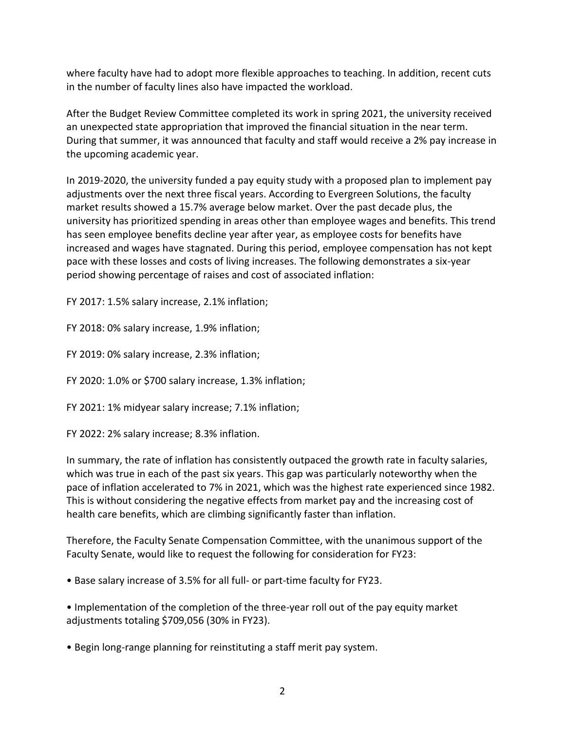where faculty have had to adopt more flexible approaches to teaching. In addition, recent cuts in the number of faculty lines also have impacted the workload.

After the Budget Review Committee completed its work in spring 2021, the university received an unexpected state appropriation that improved the financial situation in the near term. During that summer, it was announced that faculty and staff would receive a 2% pay increase in the upcoming academic year.

In 2019-2020, the university funded a pay equity study with a proposed plan to implement pay adjustments over the next three fiscal years. According to Evergreen Solutions, the faculty market results showed a 15.7% average below market. Over the past decade plus, the university has prioritized spending in areas other than employee wages and benefits. This trend has seen employee benefits decline year after year, as employee costs for benefits have increased and wages have stagnated. During this period, employee compensation has not kept pace with these losses and costs of living increases. The following demonstrates a six-year period showing percentage of raises and cost of associated inflation:

FY 2017: 1.5% salary increase, 2.1% inflation;

FY 2018: 0% salary increase, 1.9% inflation;

FY 2019: 0% salary increase, 2.3% inflation;

FY 2020: 1.0% or \$700 salary increase, 1.3% inflation;

FY 2021: 1% midyear salary increase; 7.1% inflation;

FY 2022: 2% salary increase; 8.3% inflation.

In summary, the rate of inflation has consistently outpaced the growth rate in faculty salaries, which was true in each of the past six years. This gap was particularly noteworthy when the pace of inflation accelerated to 7% in 2021, which was the highest rate experienced since 1982. This is without considering the negative effects from market pay and the increasing cost of health care benefits, which are climbing significantly faster than inflation.

Therefore, the Faculty Senate Compensation Committee, with the unanimous support of the Faculty Senate, would like to request the following for consideration for FY23:

• Base salary increase of 3.5% for all full- or part-time faculty for FY23.

• Implementation of the completion of the three-year roll out of the pay equity market adjustments totaling \$709,056 (30% in FY23).

• Begin long-range planning for reinstituting a staff merit pay system.